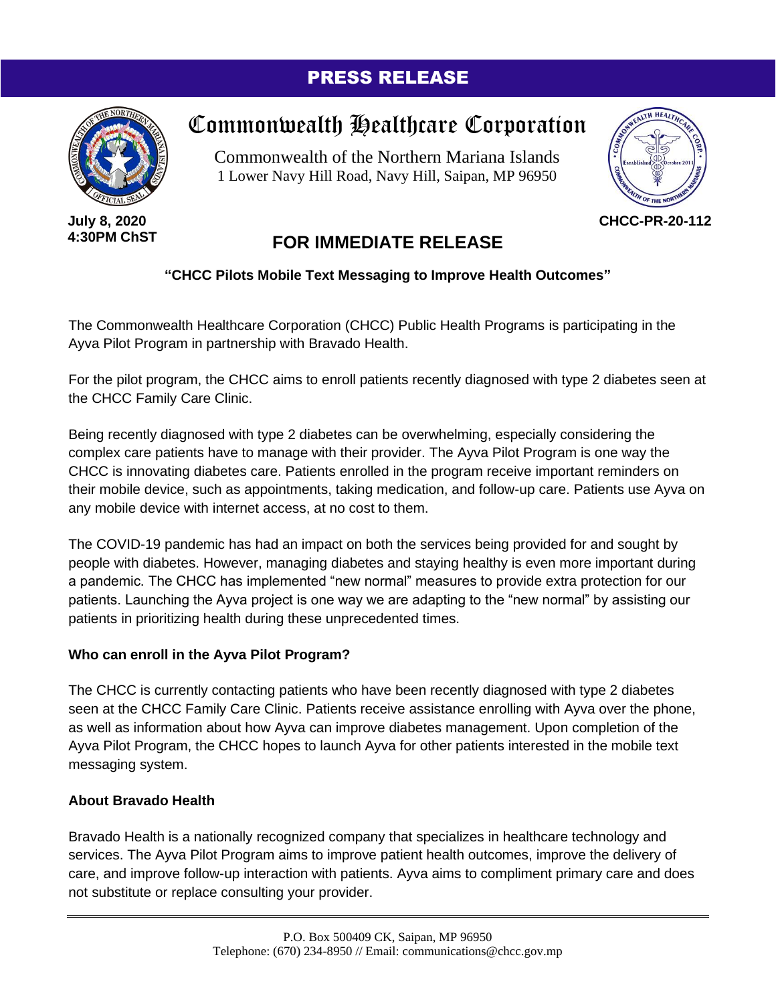### PRESS RELEASE



**July 8, 2020 4:30PM ChST**

# Commonwealth Healthcare Corporation

Commonwealth of the Northern Mariana Islands 1 Lower Navy Hill Road, Navy Hill, Saipan, MP 96950



**CHCC-PR-20-112**

## **FOR IMMEDIATE RELEASE**

#### **"CHCC Pilots Mobile Text Messaging to Improve Health Outcomes"**

The Commonwealth Healthcare Corporation (CHCC) Public Health Programs is participating in the Ayva Pilot Program in partnership with Bravado Health.

For the pilot program, the CHCC aims to enroll patients recently diagnosed with type 2 diabetes seen at the CHCC Family Care Clinic.

Being recently diagnosed with type 2 diabetes can be overwhelming, especially considering the complex care patients have to manage with their provider. The Ayva Pilot Program is one way the CHCC is innovating diabetes care. Patients enrolled in the program receive important reminders on their mobile device, such as appointments, taking medication, and follow-up care. Patients use Ayva on any mobile device with internet access, at no cost to them.

The COVID-19 pandemic has had an impact on both the services being provided for and sought by people with diabetes. However, managing diabetes and staying healthy is even more important during a pandemic. The CHCC has implemented "new normal" measures to provide extra protection for our patients. Launching the Ayva project is one way we are adapting to the "new normal" by assisting our patients in prioritizing health during these unprecedented times.

#### **Who can enroll in the Ayva Pilot Program?**

The CHCC is currently contacting patients who have been recently diagnosed with type 2 diabetes seen at the CHCC Family Care Clinic. Patients receive assistance enrolling with Ayva over the phone, as well as information about how Ayva can improve diabetes management. Upon completion of the Ayva Pilot Program, the CHCC hopes to launch Ayva for other patients interested in the mobile text messaging system.

#### **About Bravado Health**

Bravado Health is a nationally recognized company that specializes in healthcare technology and services. The Ayva Pilot Program aims to improve patient health outcomes, improve the delivery of care, and improve follow-up interaction with patients. Ayva aims to compliment primary care and does not substitute or replace consulting your provider.